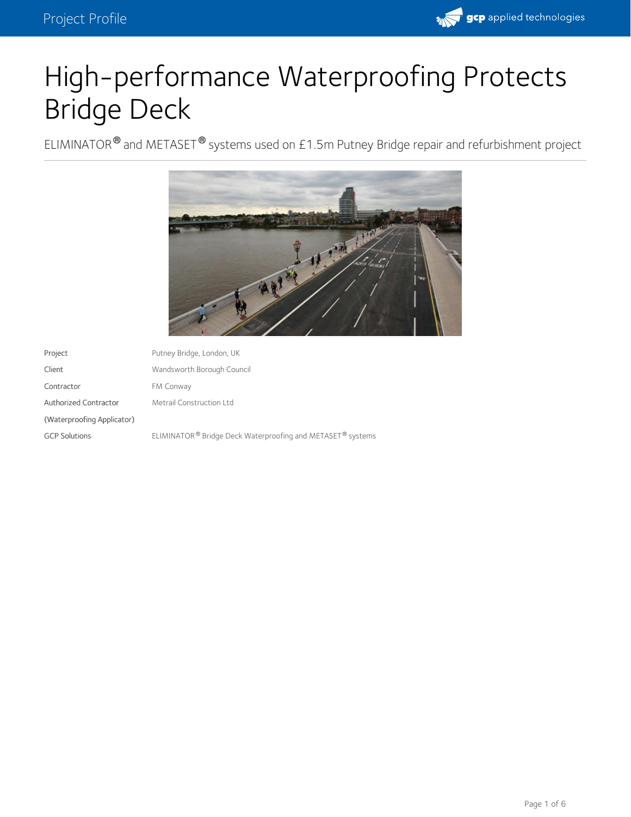

# High-performance Waterproofing Protects Bridge Deck

ELIMINATOR $^\circledR$  and METASET $^\circledR$  systems used on £1.5m Putney Bridge repair and refurbishment project



| Project                    | Putney Bridge, London, UK                                                          |
|----------------------------|------------------------------------------------------------------------------------|
| Client                     | Wandsworth Borough Council                                                         |
| Contractor                 | FM Conway                                                                          |
| Authorized Contractor      | Metrail Construction Ltd                                                           |
| (Waterproofing Applicator) |                                                                                    |
| <b>GCP Solutions</b>       | ELIMINATOR <sup>®</sup> Bridge Deck Waterproofing and METASET <sup>®</sup> systems |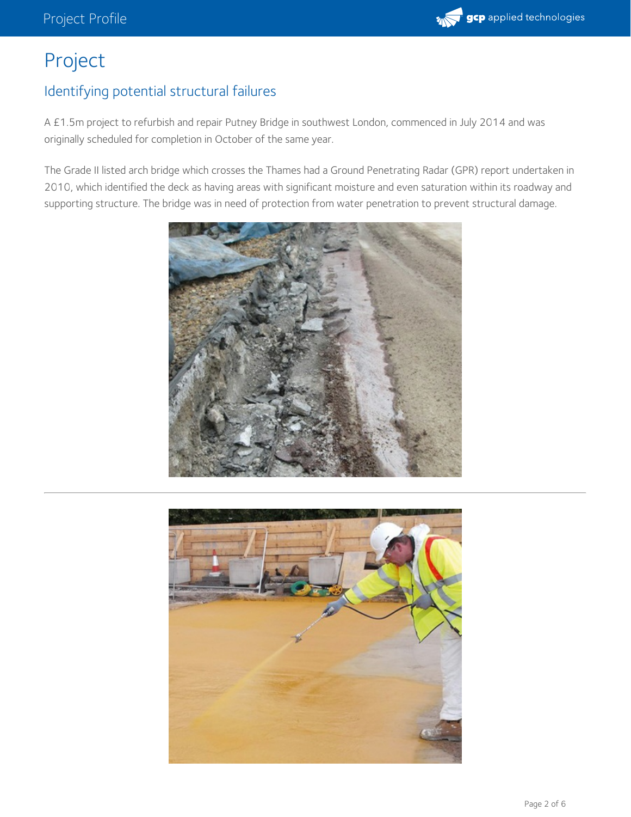

## Project

#### Identifying potential structural failures

A £1.5m project to refurbish and repair Putney Bridge in southwest London, commenced in July 2014 and was originally scheduled for completion in October of the same year.

The Grade II listed arch bridge which crosses the Thames had a Ground Penetrating Radar (GPR) report undertaken in 2010, which identified the deck as having areas with significant moisture and even saturation within its roadway and supporting structure. The bridge was in need of protection from water penetration to prevent structural damage.



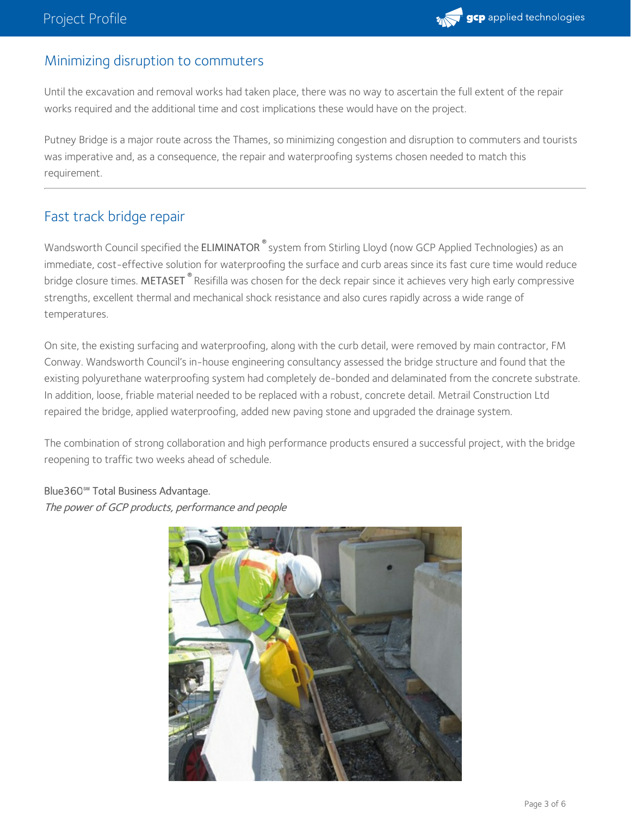

#### Minimizing disruption to commuters

Until the excavation and removal works had taken place, there was no way to ascertain the full extent of the repair works required and the additional time and cost implications these would have on the project.

Putney Bridge is a major route across the Thames, so minimizing congestion and disruption to commuters and tourists was imperative and, as a consequence, the repair and waterproofing systems chosen needed to match this requirement.

#### Fast track bridge repair

Wandsworth Council specified the ELIMINATOR  $^\circ$  system from Stirling Lloyd (now GCP Applied Technologies) as an immediate, cost-effective solution for waterproofing the surface and curb areas since its fast cure time would reduce bridge closure times. **METASET**  $^\circ$  Resifilla was chosen for the deck repair since it achieves very high early compressive strengths, excellent thermal and mechanical shock resistance and also cures rapidly across a wide range of temperatures.

On site, the existing surfacing and waterproofing, along with the curb detail, were removed by main contractor, FM Conway. Wandsworth Council's in-house engineering consultancy assessed the bridge structure and found that the existing polyurethane waterproofing system had completely de-bonded and delaminated from the concrete substrate. In addition, loose, friable material needed to be replaced with a robust, concrete detail. Metrail Construction Ltd repaired the bridge, applied waterproofing, added new paving stone and upgraded the drainage system.

The combination of strong collaboration and high performance products ensured a successful project, with the bridge reopening to traffic two weeks ahead of schedule.

### Blue360**℠** Total Business Advantage.

The power of GCP products, performance and people

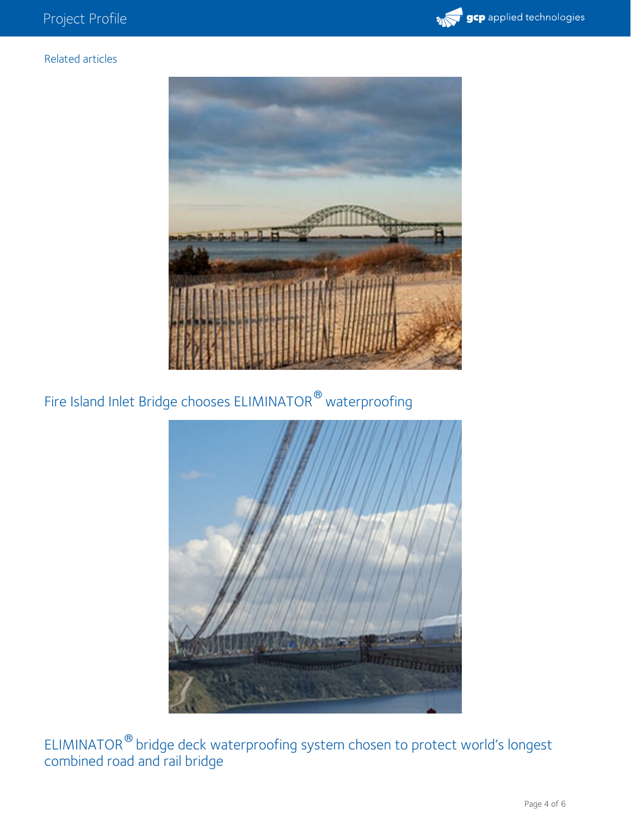

#### Related articles



Fire Island Inlet Bridge chooses ELIMINATOR<sup>®</sup> waterproofing



ELIMINATOR  $^{\circ\!\!\circ}$  bridge deck waterproofing system chosen to protect world's longest combined road and rail bridge  $^{\circledR}$  hride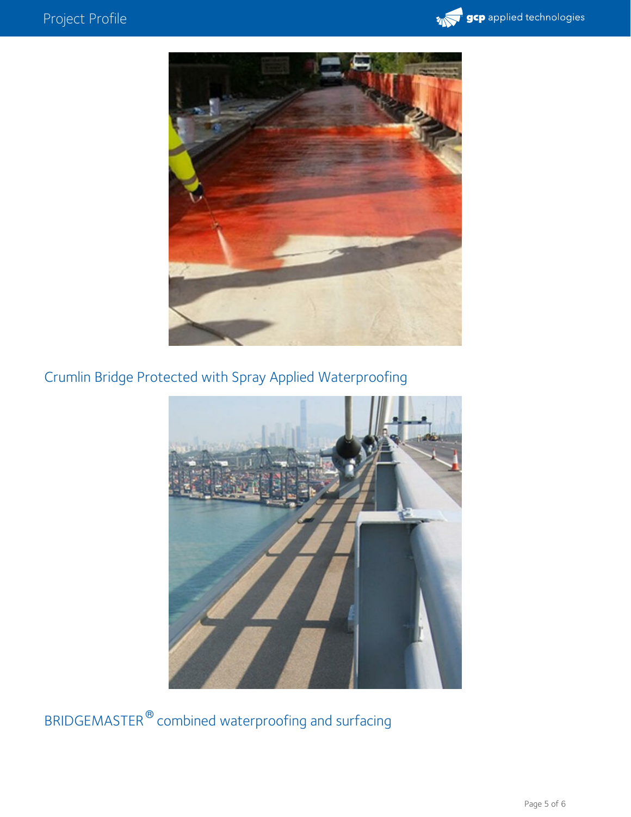



Crumlin Bridge Protected with Spray Applied Waterproofing



BRIDGEMASTER  $^\circledR$  combined waterproofing and surfacing